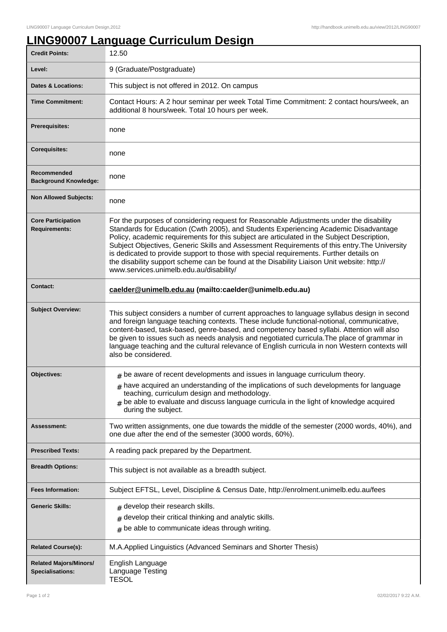## **LING90007 Language Curriculum Design**

| <b>Credit Points:</b>                             | 12.50                                                                                                                                                                                                                                                                                                                                                                                                                                                                                                                                                                                                            |
|---------------------------------------------------|------------------------------------------------------------------------------------------------------------------------------------------------------------------------------------------------------------------------------------------------------------------------------------------------------------------------------------------------------------------------------------------------------------------------------------------------------------------------------------------------------------------------------------------------------------------------------------------------------------------|
| Level:                                            | 9 (Graduate/Postgraduate)                                                                                                                                                                                                                                                                                                                                                                                                                                                                                                                                                                                        |
| <b>Dates &amp; Locations:</b>                     | This subject is not offered in 2012. On campus                                                                                                                                                                                                                                                                                                                                                                                                                                                                                                                                                                   |
| <b>Time Commitment:</b>                           | Contact Hours: A 2 hour seminar per week Total Time Commitment: 2 contact hours/week, an<br>additional 8 hours/week. Total 10 hours per week.                                                                                                                                                                                                                                                                                                                                                                                                                                                                    |
| <b>Prerequisites:</b>                             | none                                                                                                                                                                                                                                                                                                                                                                                                                                                                                                                                                                                                             |
| <b>Corequisites:</b>                              | none                                                                                                                                                                                                                                                                                                                                                                                                                                                                                                                                                                                                             |
| Recommended<br><b>Background Knowledge:</b>       | none                                                                                                                                                                                                                                                                                                                                                                                                                                                                                                                                                                                                             |
| <b>Non Allowed Subjects:</b>                      | none                                                                                                                                                                                                                                                                                                                                                                                                                                                                                                                                                                                                             |
| <b>Core Participation</b><br><b>Requirements:</b> | For the purposes of considering request for Reasonable Adjustments under the disability<br>Standards for Education (Cwth 2005), and Students Experiencing Academic Disadvantage<br>Policy, academic requirements for this subject are articulated in the Subject Description,<br>Subject Objectives, Generic Skills and Assessment Requirements of this entry. The University<br>is dedicated to provide support to those with special requirements. Further details on<br>the disability support scheme can be found at the Disability Liaison Unit website: http://<br>www.services.unimelb.edu.au/disability/ |
| <b>Contact:</b>                                   | caelder@unimelb.edu.au (mailto:caelder@unimelb.edu.au)                                                                                                                                                                                                                                                                                                                                                                                                                                                                                                                                                           |
| <b>Subject Overview:</b>                          | This subject considers a number of current approaches to language syllabus design in second<br>and foreign language teaching contexts. These include functional-notional, communicative,<br>content-based, task-based, genre-based, and competency based syllabi. Attention will also<br>be given to issues such as needs analysis and negotiated curricula. The place of grammar in<br>language teaching and the cultural relevance of English curricula in non Western contexts will<br>also be considered.                                                                                                    |
| <b>Objectives:</b>                                | $#$ be aware of recent developments and issues in language curriculum theory.                                                                                                                                                                                                                                                                                                                                                                                                                                                                                                                                    |
|                                                   | $#$ have acquired an understanding of the implications of such developments for language<br>teaching, curriculum design and methodology.<br>be able to evaluate and discuss language curricula in the light of knowledge acquired<br>during the subject.                                                                                                                                                                                                                                                                                                                                                         |
| Assessment:                                       | Two written assignments, one due towards the middle of the semester (2000 words, 40%), and<br>one due after the end of the semester (3000 words, 60%).                                                                                                                                                                                                                                                                                                                                                                                                                                                           |
| <b>Prescribed Texts:</b>                          | A reading pack prepared by the Department.                                                                                                                                                                                                                                                                                                                                                                                                                                                                                                                                                                       |
| <b>Breadth Options:</b>                           | This subject is not available as a breadth subject.                                                                                                                                                                                                                                                                                                                                                                                                                                                                                                                                                              |
| <b>Fees Information:</b>                          | Subject EFTSL, Level, Discipline & Census Date, http://enrolment.unimelb.edu.au/fees                                                                                                                                                                                                                                                                                                                                                                                                                                                                                                                             |
| <b>Generic Skills:</b>                            | $#$ develop their research skills.<br>develop their critical thinking and analytic skills.<br>be able to communicate ideas through writing.<br>#                                                                                                                                                                                                                                                                                                                                                                                                                                                                 |
| <b>Related Course(s):</b>                         | M.A.Applied Linguistics (Advanced Seminars and Shorter Thesis)                                                                                                                                                                                                                                                                                                                                                                                                                                                                                                                                                   |
| <b>Related Majors/Minors/</b><br>Specialisations: | English Language<br>Language Testing<br><b>TESOL</b>                                                                                                                                                                                                                                                                                                                                                                                                                                                                                                                                                             |